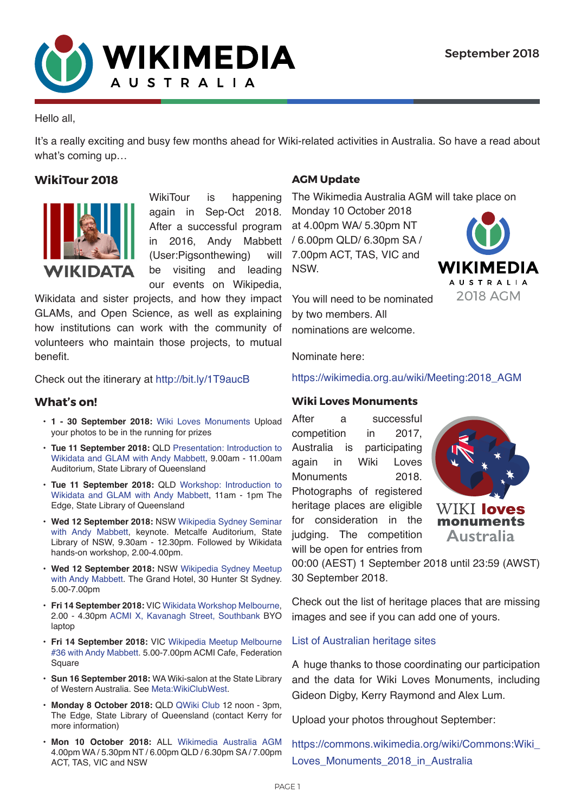

### Hello all,

It's a really exciting and busy few months ahead for Wiki-related activities in Australia. So have a read about what's coming up…

# **WikiTour 2018**



WikiTour is happening again in Sep-Oct 2018. After a successful program in 2016, Andy Mabbett (User:Pigsonthewing) will be visiting and leading our events on Wikipedia,

Wikidata and sister projects, and how they impact GLAMs, and Open Science, as well as explaining how institutions can work with the community of volunteers who maintain those projects, to mutual benefit.

Check out the itinerary at [http://bit.ly/1T9aucB](http://bit.ly/1T9aucB ) 

## **What's on!**

- **• 1 30 September 2018:** [Wiki Loves Monuments](https://commons.wikimedia.org/wiki/Commons:Wiki_Loves_Monuments_2018_in_Australia) Upload your photos to be in the running for prizes
- **• Tue 11 September 2018:** QLD [Presentation: Introduction to](https://www.eventbrite.com.au/e/introduction-to-wikidata-and-glam-with-andy-mabbett-presentation-tickets-49200601323)  [Wikidata and GLAM with Andy Mabbett,](https://www.eventbrite.com.au/e/introduction-to-wikidata-and-glam-with-andy-mabbett-presentation-tickets-49200601323) 9.00am - 11.00am Auditorium, State Library of Queensland
- **• Tue 11 September 2018:** QLD [Workshop: Introduction to](https://www.eventbrite.com.au/e/introduction-to-wikidata-and-glam-with-andy-mabbett-workshop-tickets-49204769791)  [Wikidata and GLAM with Andy Mabbett](https://www.eventbrite.com.au/e/introduction-to-wikidata-and-glam-with-andy-mabbett-workshop-tickets-49204769791), 11am - 1pm The Edge, State Library of Queensland
- **• Wed 12 September 2018:** NSW [Wikipedia Sydney Seminar](https://www.eventbrite.com.au/e/wikipedia-sydney-seminar-tickets-49366663018)  [with Andy Mabbett,](https://www.eventbrite.com.au/e/wikipedia-sydney-seminar-tickets-49366663018) keynote. Metcalfe Auditorium, State Library of NSW, 9.30am - 12.30pm. Followed by Wikidata hands-on workshop, 2.00-4.00pm.
- **• Wed 12 September 2018:** NSW [Wikipedia Sydney Meetup](https://en.wikipedia.org/wiki/Wikipedia:Meetup/Sydney/September_2018)  [with Andy Mabbett](https://en.wikipedia.org/wiki/Wikipedia:Meetup/Sydney/September_2018). The Grand Hotel, 30 Hunter St Sydney. 5.00-7.00pm
- **• Fri 14 September 2018:** VIC [Wikidata Workshop Melbourne](https://www.eventbrite.com.au/e/wikidata-workshop-melbourne-tickets-49688001149), 2.00 - 4.30pm [ACMI X, Kavanagh Street, Southbank](https://www.google.com.au/maps/place/ACMI+X/@-37.8220492,144.9654464,17z/data=!3m1!4b1!4m5!3m4!1s0x6ad642b1f14d3f41:0xcfb3a853cfd6e443!8m2!3d-37.8220492!4d144.9676351) BYO laptop
- **• Fri 14 September 2018:** VIC [Wikipedia Meetup Melbourne](https://en.wikipedia.org/wiki/Wikipedia:Meetup/Melbourne/36)  [#36 with Andy Mabbett](https://en.wikipedia.org/wiki/Wikipedia:Meetup/Melbourne/36). 5.00-7.00pm ACMI Cafe, Federation Square
- **• Sun 16 September 2018:** WA Wiki-salon at the State Library of Western Australia. See [Meta:WikiClubWest](http://meta.wikimedia.org/wiki/WikiClubWest).
- **• Monday 8 October 2018:** QLD [QWiki Club](https://en.wikipedia.org/wiki/Wikipedia:GLAM/State_Library_of_Queensland/QWiki_Club) 12 noon 3pm, The Edge, State Library of Queensland (contact Kerry for more information)
- **• Mon 10 October 2018:** ALL [Wikimedia Australia AGM](https://wikimedia.org.au/wiki/Meeting:2018_AGM) 4.00pm WA / 5.30pm NT / 6.00pm QLD / 6.30pm SA / 7.00pm ACT, TAS, VIC and NSW

# **AGM Update**

The Wikimedia Australia AGM will take place on

Monday 10 October 2018 at 4.00pm WA/ 5.30pm NT / 6.00pm QLD/ 6.30pm SA / 7.00pm ACT, TAS, VIC and NSW.



You will need to be nominated by two members. All nominations are welcome.

Nominate here:

[https://wikimedia.org.au/wiki/Meeting:2018\\_AGM](https://wikimedia.org.au/wiki/Meeting:2018_AGM)

## **Wiki Loves Monuments**

After a successful competition in 2017, Australia is participating again in Wiki Loves Monuments 2018. Photographs of registered heritage places are eligible for consideration in the judging. The competition will be open for entries from



00:00 (AEST) 1 September 2018 until 23:59 (AWST) 30 September 2018.

Check out the list of heritage places that are missing images and see if you can add one of yours.

### [List of Australian heritage sites](https://commons.wikimedia.org/wiki/Commons:Wiki_Loves_Monuments_2018_in_Australia/List_of_Australian_heritage_sites)

A huge thanks to those coordinating our participation and the data for Wiki Loves Monuments, including Gideon Digby, Kerry Raymond and Alex Lum.

Upload your photos throughout September:

[https://commons.wikimedia.org/wiki/Commons:Wiki\\_](https://commons.wikimedia.org/wiki/Commons:Wiki_Loves_Monuments_2018_in_Australia) Loves Monuments 2018 in Australia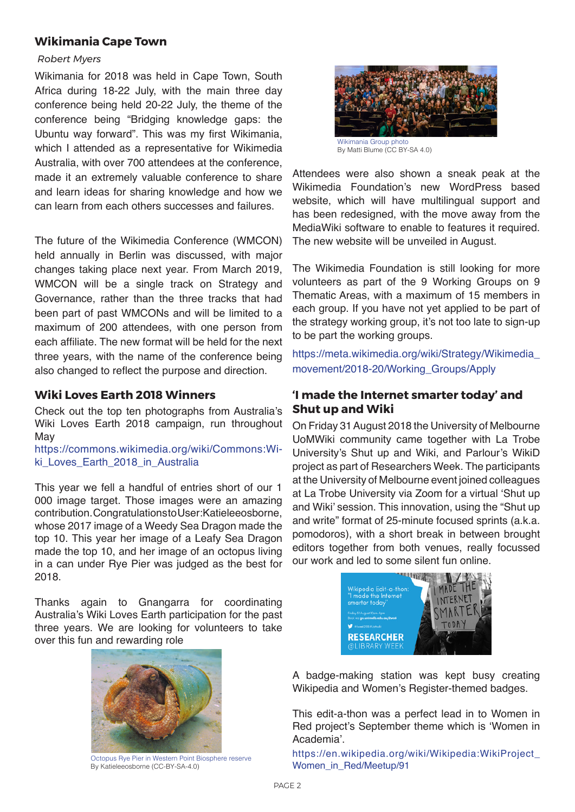# **Wikimania Cape Town**

#### *[Robert Myers](https://wikimedia.org.au/wiki/User:Bidgee)*

Wikimania for 2018 was held in Cape Town, South Africa during 18-22 July, with the main three day conference being held 20-22 July, the theme of the conference being "Bridging knowledge gaps: the Ubuntu way forward". This was my first Wikimania, which I attended as a representative for Wikimedia Australia, with over 700 attendees at the conference, made it an extremely valuable conference to share and learn ideas for sharing knowledge and how we can learn from each others successes and failures.

The future of the Wikimedia Conference (WMCON) held annually in Berlin was discussed, with major changes taking place next year. From March 2019, WMCON will be a single track on Strategy and Governance, rather than the three tracks that had been part of past WMCONs and will be limited to a maximum of 200 attendees, with one person from each affiliate. The new format will be held for the next three years, with the name of the conference being also changed to reflect the purpose and direction.

## **Wiki Loves Earth 2018 Winners**

Check out the top ten photographs from Australia's Wiki Loves Earth 2018 campaign, run throughout May

[https://commons.wikimedia.org/wiki/Commons:Wi](https://commons.wikimedia.org/wiki/Commons:Wiki_Loves_Earth_2018_in_Australia#2018_Winners)ki Loves Earth 2018 in Australia

This year we fell a handful of entries short of our 1 000 image target. Those images were an amazing contribution. Congratulations to User:Katieleeosborne, whose 2017 image of a Weedy Sea Dragon made the top 10. This year her image of a Leafy Sea Dragon made the top 10, and her image of an octopus living in a can under Rye Pier was judged as the best for 2018.

Thanks again to Gnangarra for coordinating Australia's Wiki Loves Earth participation for the past three years. We are looking for volunteers to take over this fun and rewarding role



[Octopus Rye Pier in Western Point Biosphere reserve](https://commons.wikimedia.org/wiki/File:One_mans_trash.jpg)  By [Katieleeosborne](https://commons.wikimedia.org/wiki/Special:Contributions/Katieleeosborne) (CC-BY-SA-4.0)



By [Matti Blume](https://commons.wikimedia.org/wiki/User:MB-one) (CC BY-SA 4.0)

Attendees were also shown a sneak peak at the Wikimedia Foundation's new WordPress based website, which will have multilingual support and has been redesigned, with the move away from the MediaWiki software to enable to features it required. The new website will be unveiled in August.

The Wikimedia Foundation is still looking for more volunteers as part of the 9 Working Groups on 9 Thematic Areas, with a maximum of 15 members in each group. If you have not yet applied to be part of the strategy working group, it's not too late to sign-up to be part the working groups.

[https://meta.wikimedia.org/wiki/Strategy/Wikimedia\\_](https://meta.wikimedia.org/wiki/Strategy/Wikimedia_movement/2018-20/Working_Groups/Apply) [movement/2018-20/Working\\_Groups/Apply](https://meta.wikimedia.org/wiki/Strategy/Wikimedia_movement/2018-20/Working_Groups/Apply)

# **'I made the Internet smarter today' and Shut up and Wiki**

On Friday 31 August 2018 the University of Melbourne UoMWiki community came together with La Trobe University's Shut up and Wiki, and Parlour's WikiD project as part of Researchers Week. The participants at the University of Melbourne event joined colleagues at La Trobe University via Zoom for a virtual 'Shut up and Wiki' session. This innovation, using the "Shut up and write" format of 25-minute focused sprints (a.k.a. pomodoros), with a short break in between brought editors together from both venues, really focussed our work and led to some silent fun online.



A badge-making station was kept busy creating Wikipedia and Women's Register-themed badges.

This edit-a-thon was a perfect lead in to Women in Red project's September theme which is 'Women in Academia'.

[https://en.wikipedia.org/wiki/Wikipedia:WikiProject\\_](https://en.wikipedia.org/wiki/Wikipedia:WikiProject_Women_in_Red/Meetup/91) [Women\\_in\\_Red/Meetup/91](https://en.wikipedia.org/wiki/Wikipedia:WikiProject_Women_in_Red/Meetup/91)